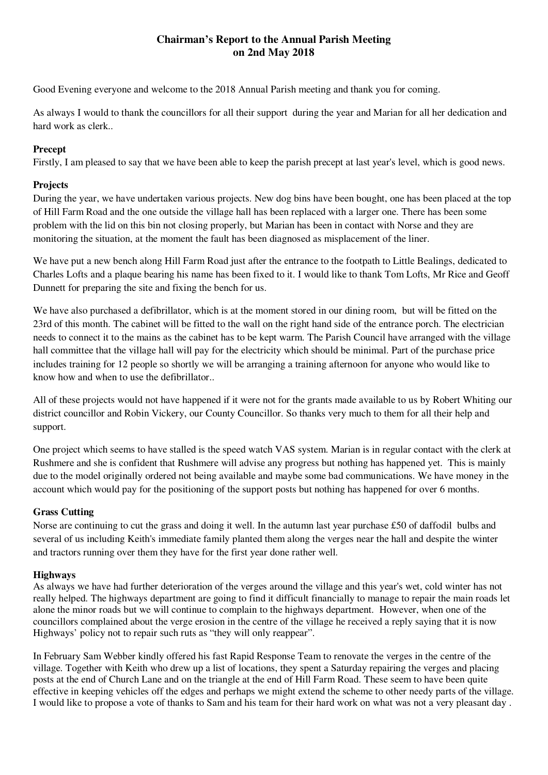# **Chairman's Report to the Annual Parish Meeting on 2nd May 2018**

Good Evening everyone and welcome to the 2018 Annual Parish meeting and thank you for coming.

As always I would to thank the councillors for all their support during the year and Marian for all her dedication and hard work as clerk..

## **Precept**

Firstly, I am pleased to say that we have been able to keep the parish precept at last year's level, which is good news.

# **Projects**

During the year, we have undertaken various projects. New dog bins have been bought, one has been placed at the top of Hill Farm Road and the one outside the village hall has been replaced with a larger one. There has been some problem with the lid on this bin not closing properly, but Marian has been in contact with Norse and they are monitoring the situation, at the moment the fault has been diagnosed as misplacement of the liner.

We have put a new bench along Hill Farm Road just after the entrance to the footpath to Little Bealings, dedicated to Charles Lofts and a plaque bearing his name has been fixed to it. I would like to thank Tom Lofts, Mr Rice and Geoff Dunnett for preparing the site and fixing the bench for us.

We have also purchased a defibrillator, which is at the moment stored in our dining room, but will be fitted on the 23rd of this month. The cabinet will be fitted to the wall on the right hand side of the entrance porch. The electrician needs to connect it to the mains as the cabinet has to be kept warm. The Parish Council have arranged with the village hall committee that the village hall will pay for the electricity which should be minimal. Part of the purchase price includes training for 12 people so shortly we will be arranging a training afternoon for anyone who would like to know how and when to use the defibrillator..

All of these projects would not have happened if it were not for the grants made available to us by Robert Whiting our district councillor and Robin Vickery, our County Councillor. So thanks very much to them for all their help and support.

One project which seems to have stalled is the speed watch VAS system. Marian is in regular contact with the clerk at Rushmere and she is confident that Rushmere will advise any progress but nothing has happened yet. This is mainly due to the model originally ordered not being available and maybe some bad communications. We have money in the account which would pay for the positioning of the support posts but nothing has happened for over 6 months.

# **Grass Cutting**

Norse are continuing to cut the grass and doing it well. In the autumn last year purchase £50 of daffodil bulbs and several of us including Keith's immediate family planted them along the verges near the hall and despite the winter and tractors running over them they have for the first year done rather well.

## **Highways**

As always we have had further deterioration of the verges around the village and this year's wet, cold winter has not really helped. The highways department are going to find it difficult financially to manage to repair the main roads let alone the minor roads but we will continue to complain to the highways department. However, when one of the councillors complained about the verge erosion in the centre of the village he received a reply saying that it is now Highways' policy not to repair such ruts as "they will only reappear".

In February Sam Webber kindly offered his fast Rapid Response Team to renovate the verges in the centre of the village. Together with Keith who drew up a list of locations, they spent a Saturday repairing the verges and placing posts at the end of Church Lane and on the triangle at the end of Hill Farm Road. These seem to have been quite effective in keeping vehicles off the edges and perhaps we might extend the scheme to other needy parts of the village. I would like to propose a vote of thanks to Sam and his team for their hard work on what was not a very pleasant day .